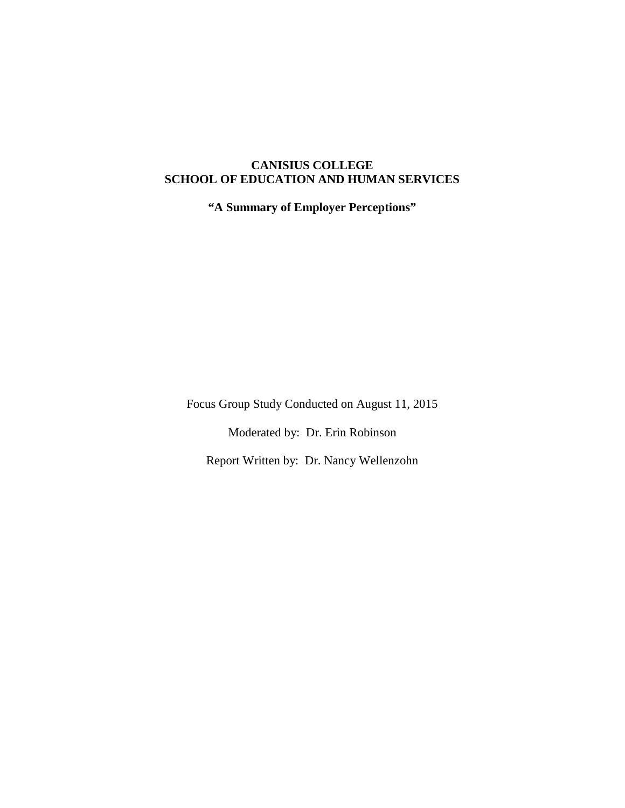# **CANISIUS COLLEGE SCHOOL OF EDUCATION AND HUMAN SERVICES**

**"A Summary of Employer Perceptions"**

Focus Group Study Conducted on August 11, 2015

Moderated by: Dr. Erin Robinson

Report Written by: Dr. Nancy Wellenzohn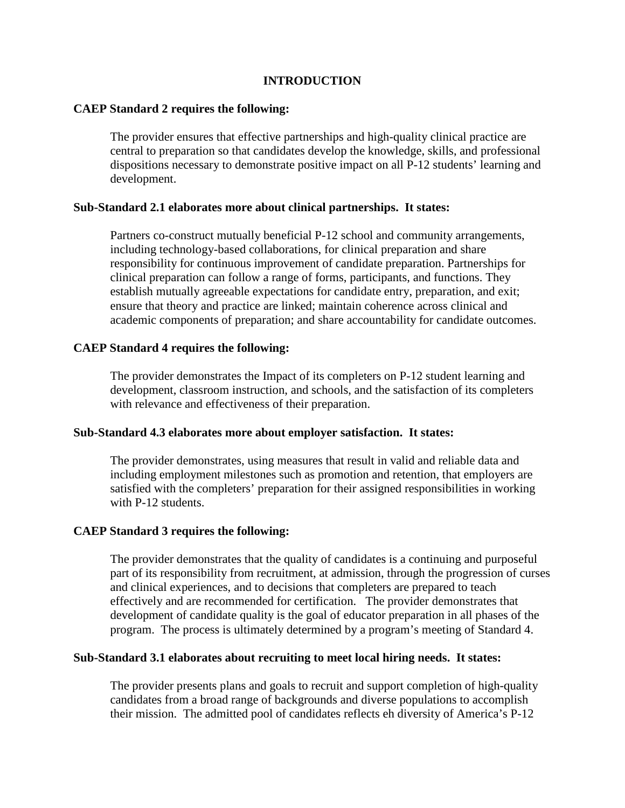# **INTRODUCTION**

### **CAEP Standard 2 requires the following:**

The provider ensures that effective partnerships and high-quality clinical practice are central to preparation so that candidates develop the knowledge, skills, and professional dispositions necessary to demonstrate positive impact on all P-12 students' learning and development.

### **Sub-Standard 2.1 elaborates more about clinical partnerships. It states:**

Partners co-construct mutually beneficial P-12 school and community arrangements, including technology-based collaborations, for clinical preparation and share responsibility for continuous improvement of candidate preparation. Partnerships for clinical preparation can follow a range of forms, participants, and functions. They establish mutually agreeable expectations for candidate entry, preparation, and exit; ensure that theory and practice are linked; maintain coherence across clinical and academic components of preparation; and share accountability for candidate outcomes.

# **CAEP Standard 4 requires the following:**

The provider demonstrates the Impact of its completers on P-12 student learning and development, classroom instruction, and schools, and the satisfaction of its completers with relevance and effectiveness of their preparation.

### **Sub-Standard 4.3 elaborates more about employer satisfaction. It states:**

The provider demonstrates, using measures that result in valid and reliable data and including employment milestones such as promotion and retention, that employers are satisfied with the completers' preparation for their assigned responsibilities in working with P-12 students.

### **CAEP Standard 3 requires the following:**

The provider demonstrates that the quality of candidates is a continuing and purposeful part of its responsibility from recruitment, at admission, through the progression of curses and clinical experiences, and to decisions that completers are prepared to teach effectively and are recommended for certification. The provider demonstrates that development of candidate quality is the goal of educator preparation in all phases of the program. The process is ultimately determined by a program's meeting of Standard 4.

### **Sub-Standard 3.1 elaborates about recruiting to meet local hiring needs. It states:**

The provider presents plans and goals to recruit and support completion of high-quality candidates from a broad range of backgrounds and diverse populations to accomplish their mission. The admitted pool of candidates reflects eh diversity of America's P-12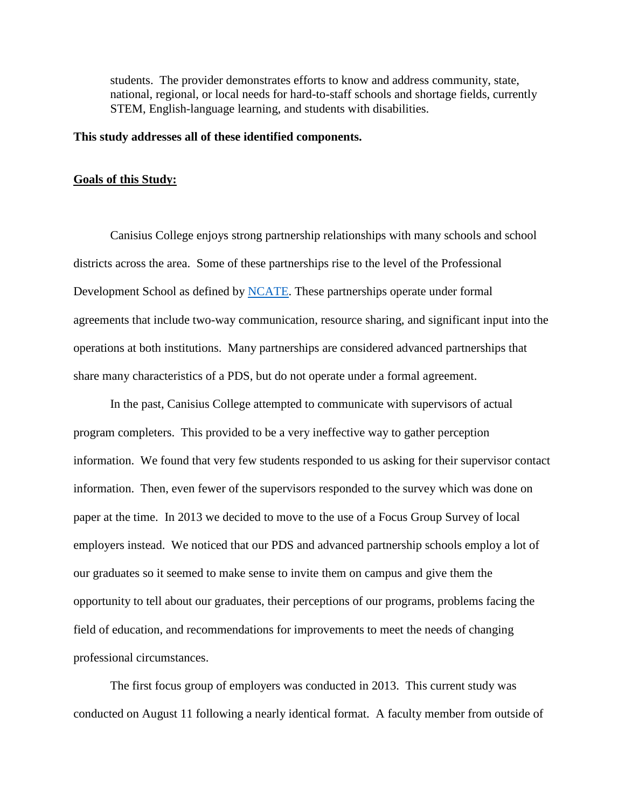students. The provider demonstrates efforts to know and address community, state, national, regional, or local needs for hard-to-staff schools and shortage fields, currently STEM, English-language learning, and students with disabilities.

### **This study addresses all of these identified components.**

#### **Goals of this Study:**

Canisius College enjoys strong partnership relationships with many schools and school districts across the area. Some of these partnerships rise to the level of the Professional Development School as defined by [NCATE.](http://ncate.org/LinkClick.aspx?fileticket=FcHbf2B%2b670%3d&tabid=125) These partnerships operate under formal agreements that include two-way communication, resource sharing, and significant input into the operations at both institutions. Many partnerships are considered advanced partnerships that share many characteristics of a PDS, but do not operate under a formal agreement.

In the past, Canisius College attempted to communicate with supervisors of actual program completers. This provided to be a very ineffective way to gather perception information. We found that very few students responded to us asking for their supervisor contact information. Then, even fewer of the supervisors responded to the survey which was done on paper at the time. In 2013 we decided to move to the use of a Focus Group Survey of local employers instead. We noticed that our PDS and advanced partnership schools employ a lot of our graduates so it seemed to make sense to invite them on campus and give them the opportunity to tell about our graduates, their perceptions of our programs, problems facing the field of education, and recommendations for improvements to meet the needs of changing professional circumstances.

The first focus group of employers was conducted in 2013. This current study was conducted on August 11 following a nearly identical format. A faculty member from outside of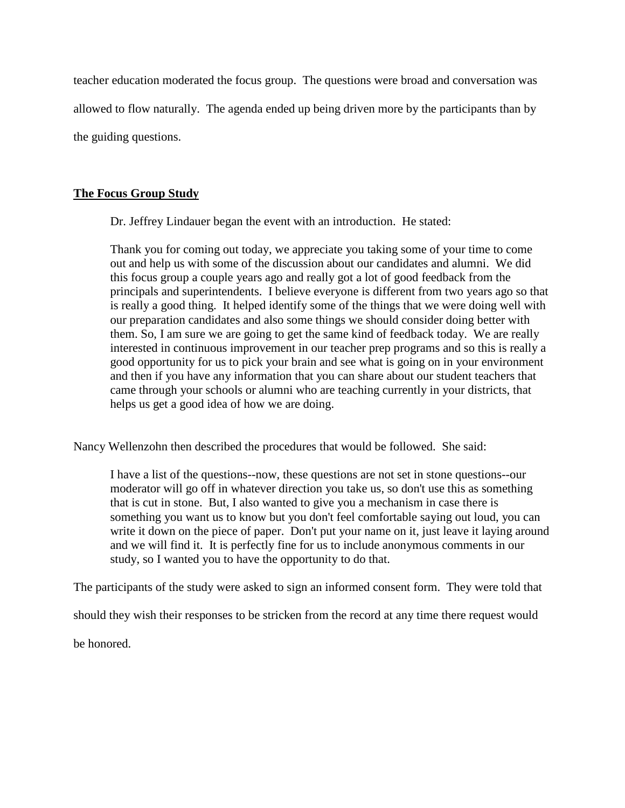teacher education moderated the focus group. The questions were broad and conversation was allowed to flow naturally. The agenda ended up being driven more by the participants than by the guiding questions.

# **The Focus Group Study**

Dr. Jeffrey Lindauer began the event with an introduction. He stated:

Thank you for coming out today, we appreciate you taking some of your time to come out and help us with some of the discussion about our candidates and alumni. We did this focus group a couple years ago and really got a lot of good feedback from the principals and superintendents. I believe everyone is different from two years ago so that is really a good thing. It helped identify some of the things that we were doing well with our preparation candidates and also some things we should consider doing better with them. So, I am sure we are going to get the same kind of feedback today. We are really interested in continuous improvement in our teacher prep programs and so this is really a good opportunity for us to pick your brain and see what is going on in your environment and then if you have any information that you can share about our student teachers that came through your schools or alumni who are teaching currently in your districts, that helps us get a good idea of how we are doing.

Nancy Wellenzohn then described the procedures that would be followed. She said:

I have a list of the questions--now, these questions are not set in stone questions--our moderator will go off in whatever direction you take us, so don't use this as something that is cut in stone. But, I also wanted to give you a mechanism in case there is something you want us to know but you don't feel comfortable saying out loud, you can write it down on the piece of paper. Don't put your name on it, just leave it laying around and we will find it. It is perfectly fine for us to include anonymous comments in our study, so I wanted you to have the opportunity to do that.

The participants of the study were asked to sign an informed consent form. They were told that

should they wish their responses to be stricken from the record at any time there request would

be honored.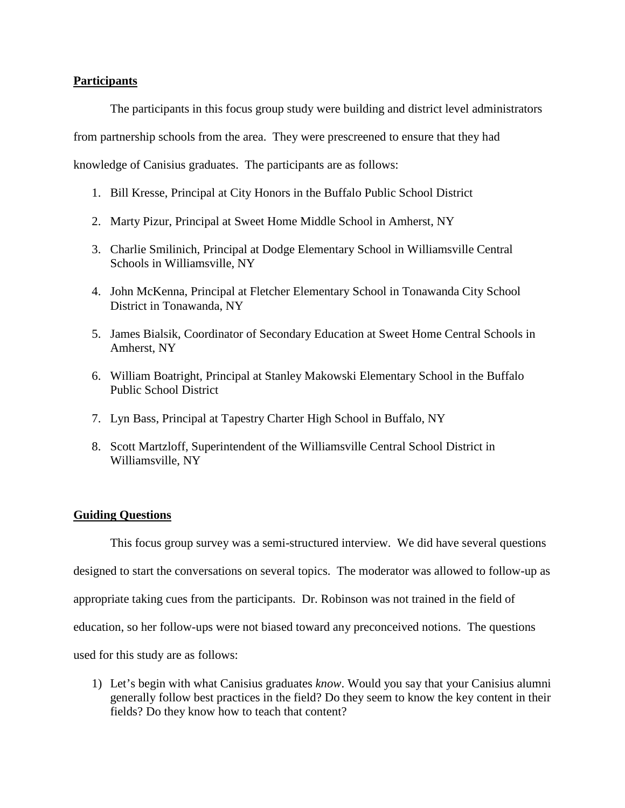### **Participants**

The participants in this focus group study were building and district level administrators from partnership schools from the area. They were prescreened to ensure that they had knowledge of Canisius graduates. The participants are as follows:

- 1. Bill Kresse, Principal at City Honors in the Buffalo Public School District
- 2. Marty Pizur, Principal at Sweet Home Middle School in Amherst, NY
- 3. Charlie Smilinich, Principal at Dodge Elementary School in Williamsville Central Schools in Williamsville, NY
- 4. John McKenna, Principal at Fletcher Elementary School in Tonawanda City School District in Tonawanda, NY
- 5. James Bialsik, Coordinator of Secondary Education at Sweet Home Central Schools in Amherst, NY
- 6. William Boatright, Principal at Stanley Makowski Elementary School in the Buffalo Public School District
- 7. Lyn Bass, Principal at Tapestry Charter High School in Buffalo, NY
- 8. Scott Martzloff, Superintendent of the Williamsville Central School District in Williamsville, NY

# **Guiding Questions**

This focus group survey was a semi-structured interview. We did have several questions designed to start the conversations on several topics. The moderator was allowed to follow-up as appropriate taking cues from the participants. Dr. Robinson was not trained in the field of education, so her follow-ups were not biased toward any preconceived notions. The questions used for this study are as follows:

1) Let's begin with what Canisius graduates *know*. Would you say that your Canisius alumni generally follow best practices in the field? Do they seem to know the key content in their fields? Do they know how to teach that content?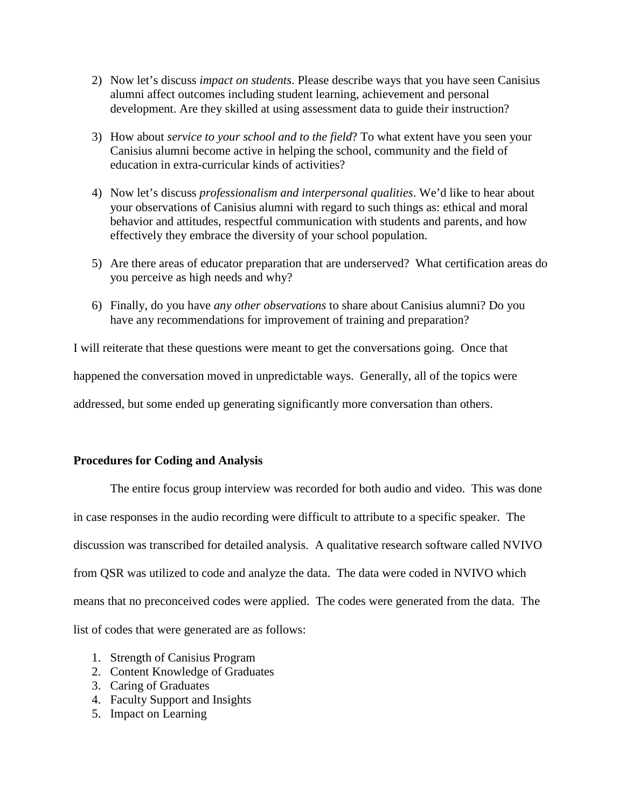- 2) Now let's discuss *impact on students*. Please describe ways that you have seen Canisius alumni affect outcomes including student learning, achievement and personal development. Are they skilled at using assessment data to guide their instruction?
- 3) How about *service to your school and to the field*? To what extent have you seen your Canisius alumni become active in helping the school, community and the field of education in extra-curricular kinds of activities?
- 4) Now let's discuss *professionalism and interpersonal qualities*. We'd like to hear about your observations of Canisius alumni with regard to such things as: ethical and moral behavior and attitudes, respectful communication with students and parents, and how effectively they embrace the diversity of your school population.
- 5) Are there areas of educator preparation that are underserved? What certification areas do you perceive as high needs and why?
- 6) Finally, do you have *any other observations* to share about Canisius alumni? Do you have any recommendations for improvement of training and preparation?

I will reiterate that these questions were meant to get the conversations going. Once that happened the conversation moved in unpredictable ways. Generally, all of the topics were addressed, but some ended up generating significantly more conversation than others.

# **Procedures for Coding and Analysis**

The entire focus group interview was recorded for both audio and video. This was done in case responses in the audio recording were difficult to attribute to a specific speaker. The discussion was transcribed for detailed analysis. A qualitative research software called NVIVO from QSR was utilized to code and analyze the data. The data were coded in NVIVO which means that no preconceived codes were applied. The codes were generated from the data. The list of codes that were generated are as follows:

- 1. Strength of Canisius Program
- 2. Content Knowledge of Graduates
- 3. Caring of Graduates
- 4. Faculty Support and Insights
- 5. Impact on Learning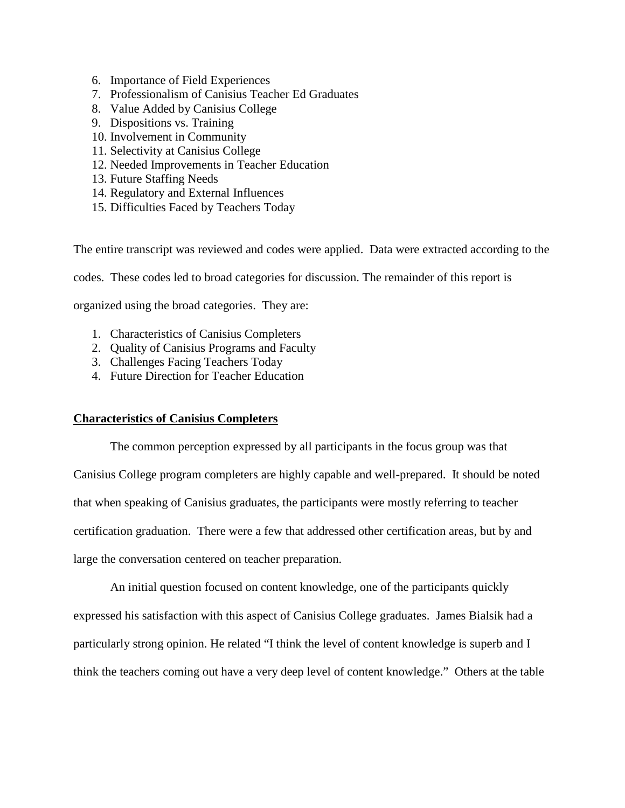- 6. Importance of Field Experiences
- 7. Professionalism of Canisius Teacher Ed Graduates
- 8. Value Added by Canisius College
- 9. Dispositions vs. Training
- 10. Involvement in Community
- 11. Selectivity at Canisius College
- 12. Needed Improvements in Teacher Education
- 13. Future Staffing Needs
- 14. Regulatory and External Influences
- 15. Difficulties Faced by Teachers Today

The entire transcript was reviewed and codes were applied. Data were extracted according to the

codes. These codes led to broad categories for discussion. The remainder of this report is

organized using the broad categories. They are:

- 1. Characteristics of Canisius Completers
- 2. Quality of Canisius Programs and Faculty
- 3. Challenges Facing Teachers Today
- 4. Future Direction for Teacher Education

# **Characteristics of Canisius Completers**

The common perception expressed by all participants in the focus group was that Canisius College program completers are highly capable and well-prepared. It should be noted that when speaking of Canisius graduates, the participants were mostly referring to teacher certification graduation. There were a few that addressed other certification areas, but by and large the conversation centered on teacher preparation.

An initial question focused on content knowledge, one of the participants quickly expressed his satisfaction with this aspect of Canisius College graduates. James Bialsik had a particularly strong opinion. He related "I think the level of content knowledge is superb and I think the teachers coming out have a very deep level of content knowledge." Others at the table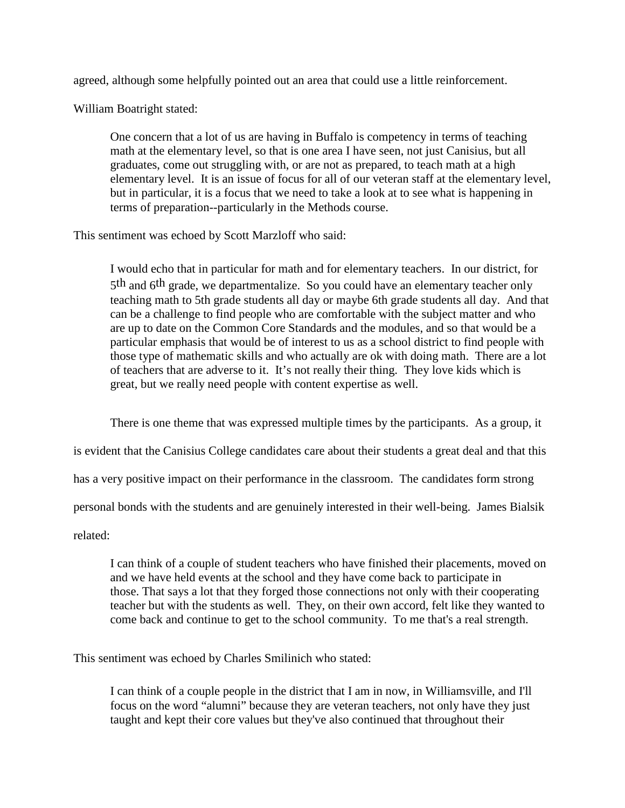agreed, although some helpfully pointed out an area that could use a little reinforcement.

William Boatright stated:

One concern that a lot of us are having in Buffalo is competency in terms of teaching math at the elementary level, so that is one area I have seen, not just Canisius, but all graduates, come out struggling with, or are not as prepared, to teach math at a high elementary level. It is an issue of focus for all of our veteran staff at the elementary level, but in particular, it is a focus that we need to take a look at to see what is happening in terms of preparation--particularly in the Methods course.

This sentiment was echoed by Scott Marzloff who said:

I would echo that in particular for math and for elementary teachers. In our district, for 5<sup>th</sup> and 6<sup>th</sup> grade, we departmentalize. So you could have an elementary teacher only teaching math to 5th grade students all day or maybe 6th grade students all day. And that can be a challenge to find people who are comfortable with the subject matter and who are up to date on the Common Core Standards and the modules, and so that would be a particular emphasis that would be of interest to us as a school district to find people with those type of mathematic skills and who actually are ok with doing math. There are a lot of teachers that are adverse to it. It's not really their thing. They love kids which is great, but we really need people with content expertise as well.

There is one theme that was expressed multiple times by the participants. As a group, it

is evident that the Canisius College candidates care about their students a great deal and that this

has a very positive impact on their performance in the classroom. The candidates form strong

personal bonds with the students and are genuinely interested in their well-being. James Bialsik

related:

I can think of a couple of student teachers who have finished their placements, moved on and we have held events at the school and they have come back to participate in those. That says a lot that they forged those connections not only with their cooperating teacher but with the students as well. They, on their own accord, felt like they wanted to come back and continue to get to the school community. To me that's a real strength.

This sentiment was echoed by Charles Smilinich who stated:

I can think of a couple people in the district that I am in now, in Williamsville, and I'll focus on the word "alumni" because they are veteran teachers, not only have they just taught and kept their core values but they've also continued that throughout their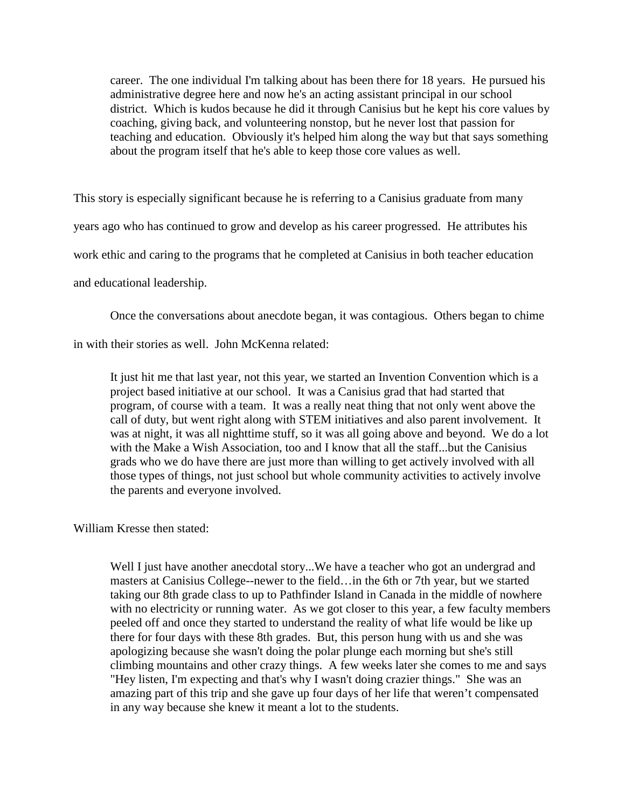career. The one individual I'm talking about has been there for 18 years. He pursued his administrative degree here and now he's an acting assistant principal in our school district. Which is kudos because he did it through Canisius but he kept his core values by coaching, giving back, and volunteering nonstop, but he never lost that passion for teaching and education. Obviously it's helped him along the way but that says something about the program itself that he's able to keep those core values as well.

This story is especially significant because he is referring to a Canisius graduate from many years ago who has continued to grow and develop as his career progressed. He attributes his work ethic and caring to the programs that he completed at Canisius in both teacher education and educational leadership.

Once the conversations about anecdote began, it was contagious. Others began to chime

in with their stories as well. John McKenna related:

It just hit me that last year, not this year, we started an Invention Convention which is a project based initiative at our school. It was a Canisius grad that had started that program, of course with a team. It was a really neat thing that not only went above the call of duty, but went right along with STEM initiatives and also parent involvement. It was at night, it was all nighttime stuff, so it was all going above and beyond. We do a lot with the Make a Wish Association, too and I know that all the staff...but the Canisius grads who we do have there are just more than willing to get actively involved with all those types of things, not just school but whole community activities to actively involve the parents and everyone involved.

### William Kresse then stated:

Well I just have another anecdotal story...We have a teacher who got an undergrad and masters at Canisius College--newer to the field…in the 6th or 7th year, but we started taking our 8th grade class to up to Pathfinder Island in Canada in the middle of nowhere with no electricity or running water. As we got closer to this year, a few faculty members peeled off and once they started to understand the reality of what life would be like up there for four days with these 8th grades. But, this person hung with us and she was apologizing because she wasn't doing the polar plunge each morning but she's still climbing mountains and other crazy things. A few weeks later she comes to me and says "Hey listen, I'm expecting and that's why I wasn't doing crazier things." She was an amazing part of this trip and she gave up four days of her life that weren't compensated in any way because she knew it meant a lot to the students.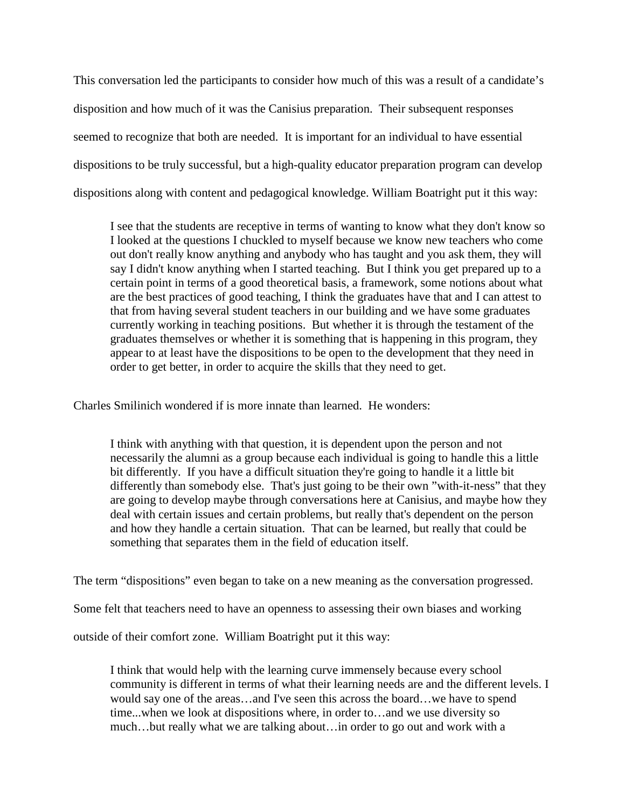This conversation led the participants to consider how much of this was a result of a candidate's disposition and how much of it was the Canisius preparation. Their subsequent responses seemed to recognize that both are needed. It is important for an individual to have essential dispositions to be truly successful, but a high-quality educator preparation program can develop dispositions along with content and pedagogical knowledge. William Boatright put it this way:

I see that the students are receptive in terms of wanting to know what they don't know so I looked at the questions I chuckled to myself because we know new teachers who come out don't really know anything and anybody who has taught and you ask them, they will say I didn't know anything when I started teaching. But I think you get prepared up to a certain point in terms of a good theoretical basis, a framework, some notions about what are the best practices of good teaching, I think the graduates have that and I can attest to that from having several student teachers in our building and we have some graduates currently working in teaching positions. But whether it is through the testament of the graduates themselves or whether it is something that is happening in this program, they appear to at least have the dispositions to be open to the development that they need in order to get better, in order to acquire the skills that they need to get.

Charles Smilinich wondered if is more innate than learned. He wonders:

I think with anything with that question, it is dependent upon the person and not necessarily the alumni as a group because each individual is going to handle this a little bit differently. If you have a difficult situation they're going to handle it a little bit differently than somebody else. That's just going to be their own "with-it-ness" that they are going to develop maybe through conversations here at Canisius, and maybe how they deal with certain issues and certain problems, but really that's dependent on the person and how they handle a certain situation. That can be learned, but really that could be something that separates them in the field of education itself.

The term "dispositions" even began to take on a new meaning as the conversation progressed.

Some felt that teachers need to have an openness to assessing their own biases and working

outside of their comfort zone. William Boatright put it this way:

I think that would help with the learning curve immensely because every school community is different in terms of what their learning needs are and the different levels. I would say one of the areas…and I've seen this across the board…we have to spend time...when we look at dispositions where, in order to…and we use diversity so much…but really what we are talking about…in order to go out and work with a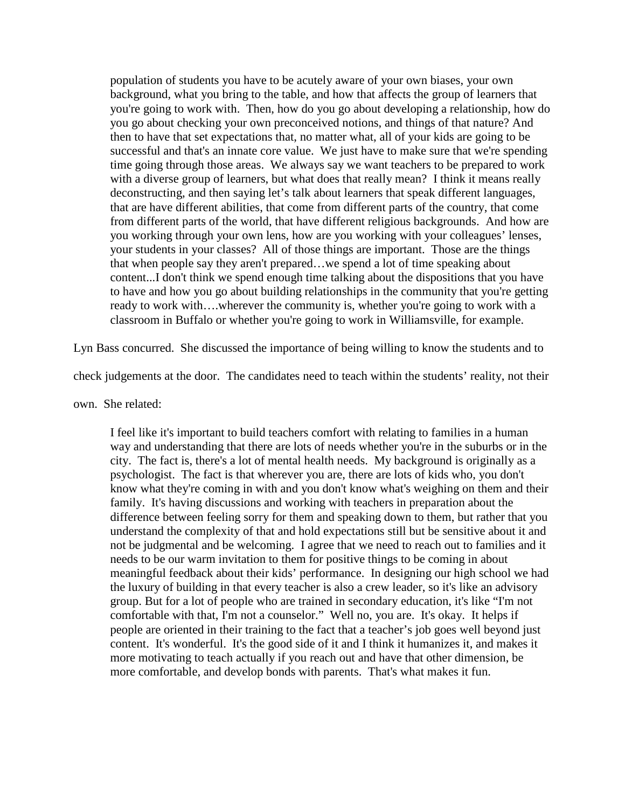population of students you have to be acutely aware of your own biases, your own background, what you bring to the table, and how that affects the group of learners that you're going to work with. Then, how do you go about developing a relationship, how do you go about checking your own preconceived notions, and things of that nature? And then to have that set expectations that, no matter what, all of your kids are going to be successful and that's an innate core value. We just have to make sure that we're spending time going through those areas. We always say we want teachers to be prepared to work with a diverse group of learners, but what does that really mean? I think it means really deconstructing, and then saying let's talk about learners that speak different languages, that are have different abilities, that come from different parts of the country, that come from different parts of the world, that have different religious backgrounds. And how are you working through your own lens, how are you working with your colleagues' lenses, your students in your classes? All of those things are important. Those are the things that when people say they aren't prepared…we spend a lot of time speaking about content...I don't think we spend enough time talking about the dispositions that you have to have and how you go about building relationships in the community that you're getting ready to work with….wherever the community is, whether you're going to work with a classroom in Buffalo or whether you're going to work in Williamsville, for example.

Lyn Bass concurred. She discussed the importance of being willing to know the students and to

check judgements at the door. The candidates need to teach within the students' reality, not their

own. She related:

I feel like it's important to build teachers comfort with relating to families in a human way and understanding that there are lots of needs whether you're in the suburbs or in the city. The fact is, there's a lot of mental health needs. My background is originally as a psychologist. The fact is that wherever you are, there are lots of kids who, you don't know what they're coming in with and you don't know what's weighing on them and their family. It's having discussions and working with teachers in preparation about the difference between feeling sorry for them and speaking down to them, but rather that you understand the complexity of that and hold expectations still but be sensitive about it and not be judgmental and be welcoming. I agree that we need to reach out to families and it needs to be our warm invitation to them for positive things to be coming in about meaningful feedback about their kids' performance. In designing our high school we had the luxury of building in that every teacher is also a crew leader, so it's like an advisory group. But for a lot of people who are trained in secondary education, it's like "I'm not comfortable with that, I'm not a counselor." Well no, you are. It's okay. It helps if people are oriented in their training to the fact that a teacher's job goes well beyond just content. It's wonderful. It's the good side of it and I think it humanizes it, and makes it more motivating to teach actually if you reach out and have that other dimension, be more comfortable, and develop bonds with parents. That's what makes it fun.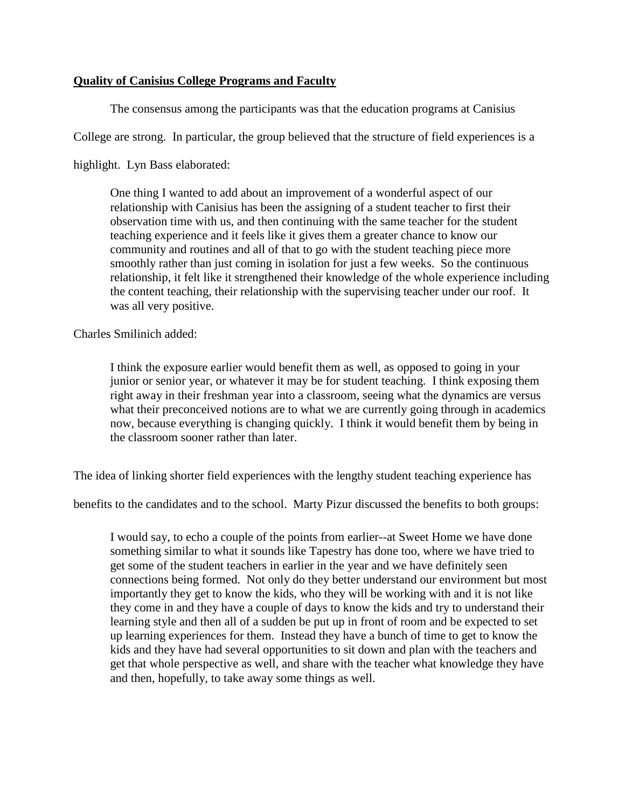# **Quality of Canisius College Programs and Faculty**

The consensus among the participants was that the education programs at Canisius

College are strong. In particular, the group believed that the structure of field experiences is a

highlight. Lyn Bass elaborated:

One thing I wanted to add about an improvement of a wonderful aspect of our relationship with Canisius has been the assigning of a student teacher to first their observation time with us, and then continuing with the same teacher for the student teaching experience and it feels like it gives them a greater chance to know our community and routines and all of that to go with the student teaching piece more smoothly rather than just coming in isolation for just a few weeks. So the continuous relationship, it felt like it strengthened their knowledge of the whole experience including the content teaching, their relationship with the supervising teacher under our roof. It was all very positive.

Charles Smilinich added:

I think the exposure earlier would benefit them as well, as opposed to going in your junior or senior year, or whatever it may be for student teaching. I think exposing them right away in their freshman year into a classroom, seeing what the dynamics are versus what their preconceived notions are to what we are currently going through in academics now, because everything is changing quickly. I think it would benefit them by being in the classroom sooner rather than later.

The idea of linking shorter field experiences with the lengthy student teaching experience has

benefits to the candidates and to the school. Marty Pizur discussed the benefits to both groups:

I would say, to echo a couple of the points from earlier--at Sweet Home we have done something similar to what it sounds like Tapestry has done too, where we have tried to get some of the student teachers in earlier in the year and we have definitely seen connections being formed. Not only do they better understand our environment but most importantly they get to know the kids, who they will be working with and it is not like they come in and they have a couple of days to know the kids and try to understand their learning style and then all of a sudden be put up in front of room and be expected to set up learning experiences for them. Instead they have a bunch of time to get to know the kids and they have had several opportunities to sit down and plan with the teachers and get that whole perspective as well, and share with the teacher what knowledge they have and then, hopefully, to take away some things as well.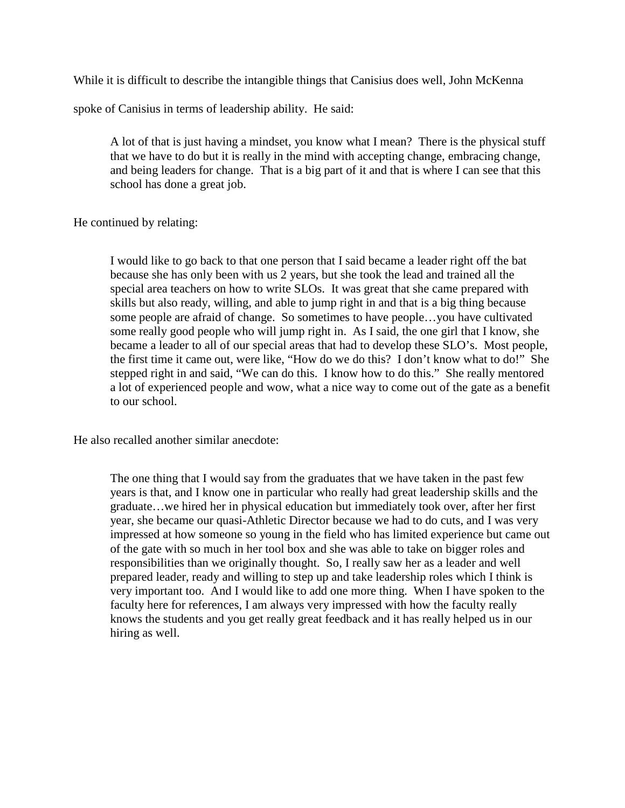While it is difficult to describe the intangible things that Canisius does well, John McKenna

spoke of Canisius in terms of leadership ability. He said:

A lot of that is just having a mindset, you know what I mean? There is the physical stuff that we have to do but it is really in the mind with accepting change, embracing change, and being leaders for change. That is a big part of it and that is where I can see that this school has done a great job.

He continued by relating:

I would like to go back to that one person that I said became a leader right off the bat because she has only been with us 2 years, but she took the lead and trained all the special area teachers on how to write SLOs. It was great that she came prepared with skills but also ready, willing, and able to jump right in and that is a big thing because some people are afraid of change. So sometimes to have people…you have cultivated some really good people who will jump right in. As I said, the one girl that I know, she became a leader to all of our special areas that had to develop these SLO's. Most people, the first time it came out, were like, "How do we do this? I don't know what to do!" She stepped right in and said, "We can do this. I know how to do this." She really mentored a lot of experienced people and wow, what a nice way to come out of the gate as a benefit to our school.

He also recalled another similar anecdote:

The one thing that I would say from the graduates that we have taken in the past few years is that, and I know one in particular who really had great leadership skills and the graduate…we hired her in physical education but immediately took over, after her first year, she became our quasi-Athletic Director because we had to do cuts, and I was very impressed at how someone so young in the field who has limited experience but came out of the gate with so much in her tool box and she was able to take on bigger roles and responsibilities than we originally thought. So, I really saw her as a leader and well prepared leader, ready and willing to step up and take leadership roles which I think is very important too. And I would like to add one more thing. When I have spoken to the faculty here for references, I am always very impressed with how the faculty really knows the students and you get really great feedback and it has really helped us in our hiring as well.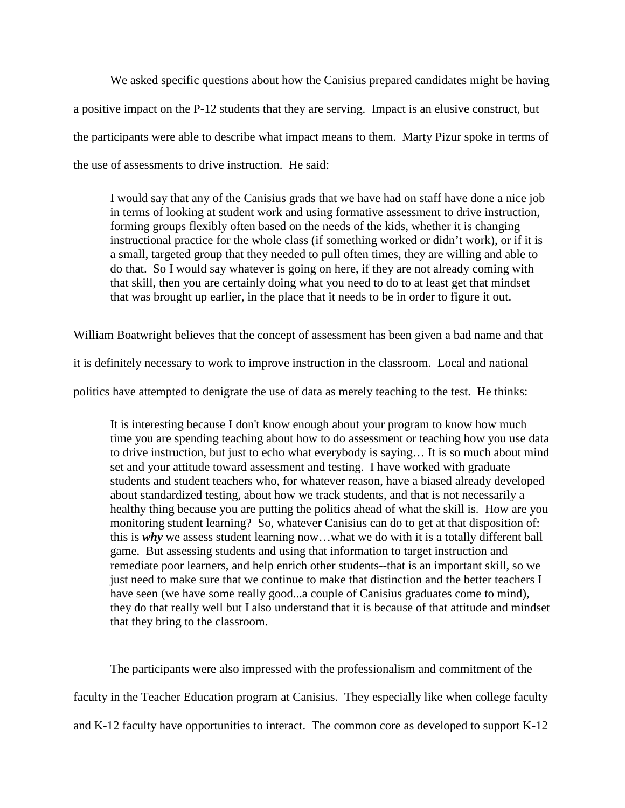We asked specific questions about how the Canisius prepared candidates might be having a positive impact on the P-12 students that they are serving. Impact is an elusive construct, but the participants were able to describe what impact means to them. Marty Pizur spoke in terms of the use of assessments to drive instruction. He said:

I would say that any of the Canisius grads that we have had on staff have done a nice job in terms of looking at student work and using formative assessment to drive instruction, forming groups flexibly often based on the needs of the kids, whether it is changing instructional practice for the whole class (if something worked or didn't work), or if it is a small, targeted group that they needed to pull often times, they are willing and able to do that. So I would say whatever is going on here, if they are not already coming with that skill, then you are certainly doing what you need to do to at least get that mindset that was brought up earlier, in the place that it needs to be in order to figure it out.

William Boatwright believes that the concept of assessment has been given a bad name and that

it is definitely necessary to work to improve instruction in the classroom. Local and national

politics have attempted to denigrate the use of data as merely teaching to the test. He thinks:

It is interesting because I don't know enough about your program to know how much time you are spending teaching about how to do assessment or teaching how you use data to drive instruction, but just to echo what everybody is saying… It is so much about mind set and your attitude toward assessment and testing. I have worked with graduate students and student teachers who, for whatever reason, have a biased already developed about standardized testing, about how we track students, and that is not necessarily a healthy thing because you are putting the politics ahead of what the skill is. How are you monitoring student learning? So, whatever Canisius can do to get at that disposition of: this is *why* we assess student learning now…what we do with it is a totally different ball game. But assessing students and using that information to target instruction and remediate poor learners, and help enrich other students--that is an important skill, so we just need to make sure that we continue to make that distinction and the better teachers I have seen (we have some really good...a couple of Canisius graduates come to mind), they do that really well but I also understand that it is because of that attitude and mindset that they bring to the classroom.

The participants were also impressed with the professionalism and commitment of the faculty in the Teacher Education program at Canisius. They especially like when college faculty and K-12 faculty have opportunities to interact. The common core as developed to support K-12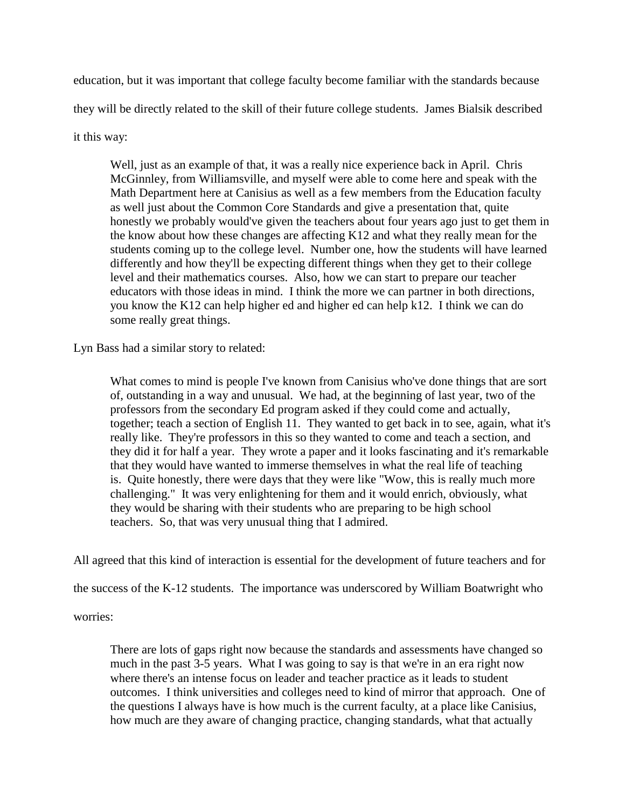education, but it was important that college faculty become familiar with the standards because they will be directly related to the skill of their future college students. James Bialsik described it this way:

Well, just as an example of that, it was a really nice experience back in April. Chris McGinnley, from Williamsville, and myself were able to come here and speak with the Math Department here at Canisius as well as a few members from the Education faculty as well just about the Common Core Standards and give a presentation that, quite honestly we probably would've given the teachers about four years ago just to get them in the know about how these changes are affecting K12 and what they really mean for the students coming up to the college level. Number one, how the students will have learned differently and how they'll be expecting different things when they get to their college level and their mathematics courses. Also, how we can start to prepare our teacher educators with those ideas in mind. I think the more we can partner in both directions, you know the K12 can help higher ed and higher ed can help k12. I think we can do some really great things.

Lyn Bass had a similar story to related:

What comes to mind is people I've known from Canisius who've done things that are sort of, outstanding in a way and unusual. We had, at the beginning of last year, two of the professors from the secondary Ed program asked if they could come and actually, together; teach a section of English 11. They wanted to get back in to see, again, what it's really like. They're professors in this so they wanted to come and teach a section, and they did it for half a year. They wrote a paper and it looks fascinating and it's remarkable that they would have wanted to immerse themselves in what the real life of teaching is. Quite honestly, there were days that they were like "Wow, this is really much more challenging." It was very enlightening for them and it would enrich, obviously, what they would be sharing with their students who are preparing to be high school teachers. So, that was very unusual thing that I admired.

All agreed that this kind of interaction is essential for the development of future teachers and for

the success of the K-12 students. The importance was underscored by William Boatwright who

worries:

There are lots of gaps right now because the standards and assessments have changed so much in the past 3-5 years. What I was going to say is that we're in an era right now where there's an intense focus on leader and teacher practice as it leads to student outcomes. I think universities and colleges need to kind of mirror that approach. One of the questions I always have is how much is the current faculty, at a place like Canisius, how much are they aware of changing practice, changing standards, what that actually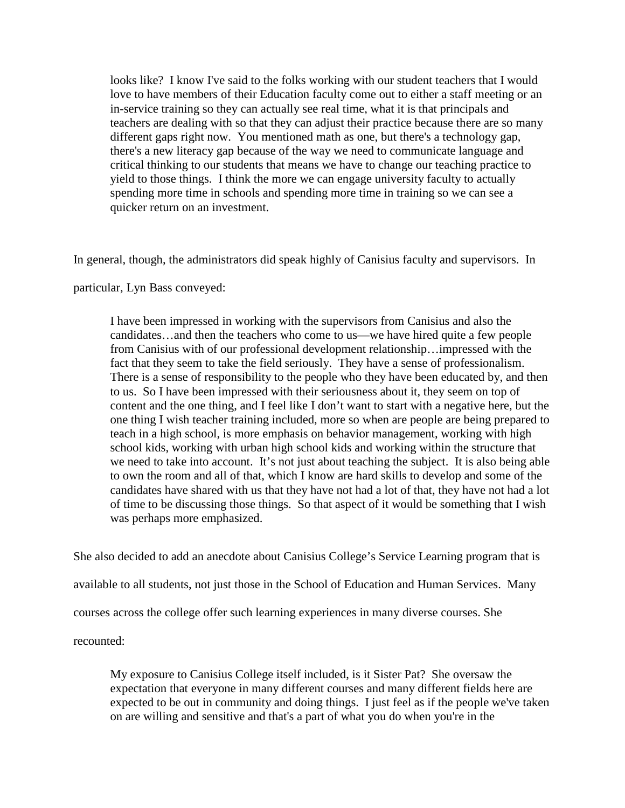looks like? I know I've said to the folks working with our student teachers that I would love to have members of their Education faculty come out to either a staff meeting or an in-service training so they can actually see real time, what it is that principals and teachers are dealing with so that they can adjust their practice because there are so many different gaps right now. You mentioned math as one, but there's a technology gap, there's a new literacy gap because of the way we need to communicate language and critical thinking to our students that means we have to change our teaching practice to yield to those things. I think the more we can engage university faculty to actually spending more time in schools and spending more time in training so we can see a quicker return on an investment.

In general, though, the administrators did speak highly of Canisius faculty and supervisors. In

particular, Lyn Bass conveyed:

I have been impressed in working with the supervisors from Canisius and also the candidates…and then the teachers who come to us—we have hired quite a few people from Canisius with of our professional development relationship…impressed with the fact that they seem to take the field seriously. They have a sense of professionalism. There is a sense of responsibility to the people who they have been educated by, and then to us. So I have been impressed with their seriousness about it, they seem on top of content and the one thing, and I feel like I don't want to start with a negative here, but the one thing I wish teacher training included, more so when are people are being prepared to teach in a high school, is more emphasis on behavior management, working with high school kids, working with urban high school kids and working within the structure that we need to take into account. It's not just about teaching the subject. It is also being able to own the room and all of that, which I know are hard skills to develop and some of the candidates have shared with us that they have not had a lot of that, they have not had a lot of time to be discussing those things. So that aspect of it would be something that I wish was perhaps more emphasized.

She also decided to add an anecdote about Canisius College's Service Learning program that is available to all students, not just those in the School of Education and Human Services. Many courses across the college offer such learning experiences in many diverse courses. She recounted:

My exposure to Canisius College itself included, is it Sister Pat? She oversaw the expectation that everyone in many different courses and many different fields here are expected to be out in community and doing things. I just feel as if the people we've taken on are willing and sensitive and that's a part of what you do when you're in the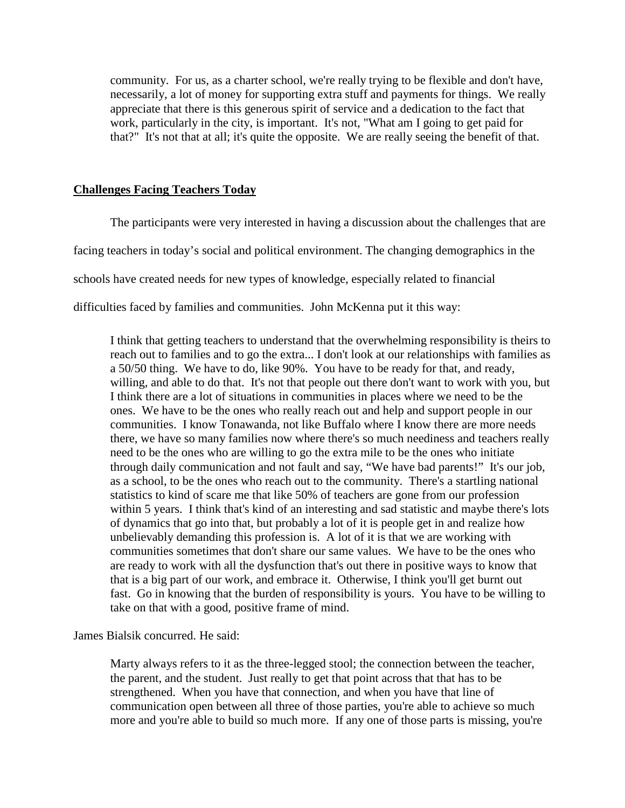community. For us, as a charter school, we're really trying to be flexible and don't have, necessarily, a lot of money for supporting extra stuff and payments for things. We really appreciate that there is this generous spirit of service and a dedication to the fact that work, particularly in the city, is important. It's not, "What am I going to get paid for that?" It's not that at all; it's quite the opposite. We are really seeing the benefit of that.

### **Challenges Facing Teachers Today**

The participants were very interested in having a discussion about the challenges that are facing teachers in today's social and political environment. The changing demographics in the schools have created needs for new types of knowledge, especially related to financial difficulties faced by families and communities. John McKenna put it this way:

I think that getting teachers to understand that the overwhelming responsibility is theirs to reach out to families and to go the extra... I don't look at our relationships with families as a 50/50 thing. We have to do, like 90%. You have to be ready for that, and ready, willing, and able to do that. It's not that people out there don't want to work with you, but I think there are a lot of situations in communities in places where we need to be the ones. We have to be the ones who really reach out and help and support people in our communities. I know Tonawanda, not like Buffalo where I know there are more needs there, we have so many families now where there's so much neediness and teachers really need to be the ones who are willing to go the extra mile to be the ones who initiate through daily communication and not fault and say, "We have bad parents!" It's our job, as a school, to be the ones who reach out to the community. There's a startling national statistics to kind of scare me that like 50% of teachers are gone from our profession within 5 years. I think that's kind of an interesting and sad statistic and maybe there's lots of dynamics that go into that, but probably a lot of it is people get in and realize how unbelievably demanding this profession is. A lot of it is that we are working with communities sometimes that don't share our same values. We have to be the ones who are ready to work with all the dysfunction that's out there in positive ways to know that that is a big part of our work, and embrace it. Otherwise, I think you'll get burnt out fast. Go in knowing that the burden of responsibility is yours. You have to be willing to take on that with a good, positive frame of mind.

James Bialsik concurred. He said:

Marty always refers to it as the three-legged stool; the connection between the teacher, the parent, and the student. Just really to get that point across that that has to be strengthened. When you have that connection, and when you have that line of communication open between all three of those parties, you're able to achieve so much more and you're able to build so much more. If any one of those parts is missing, you're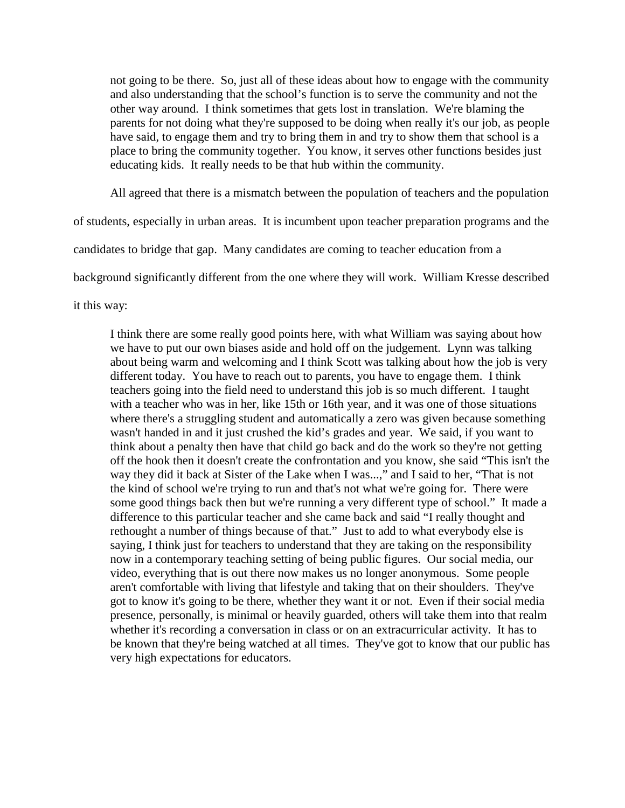not going to be there. So, just all of these ideas about how to engage with the community and also understanding that the school's function is to serve the community and not the other way around. I think sometimes that gets lost in translation. We're blaming the parents for not doing what they're supposed to be doing when really it's our job, as people have said, to engage them and try to bring them in and try to show them that school is a place to bring the community together. You know, it serves other functions besides just educating kids. It really needs to be that hub within the community.

All agreed that there is a mismatch between the population of teachers and the population

of students, especially in urban areas. It is incumbent upon teacher preparation programs and the

candidates to bridge that gap. Many candidates are coming to teacher education from a

background significantly different from the one where they will work. William Kresse described

it this way:

I think there are some really good points here, with what William was saying about how we have to put our own biases aside and hold off on the judgement. Lynn was talking about being warm and welcoming and I think Scott was talking about how the job is very different today. You have to reach out to parents, you have to engage them. I think teachers going into the field need to understand this job is so much different. I taught with a teacher who was in her, like 15th or 16th year, and it was one of those situations where there's a struggling student and automatically a zero was given because something wasn't handed in and it just crushed the kid's grades and year. We said, if you want to think about a penalty then have that child go back and do the work so they're not getting off the hook then it doesn't create the confrontation and you know, she said "This isn't the way they did it back at Sister of the Lake when I was...," and I said to her, "That is not the kind of school we're trying to run and that's not what we're going for. There were some good things back then but we're running a very different type of school." It made a difference to this particular teacher and she came back and said "I really thought and rethought a number of things because of that." Just to add to what everybody else is saying, I think just for teachers to understand that they are taking on the responsibility now in a contemporary teaching setting of being public figures. Our social media, our video, everything that is out there now makes us no longer anonymous. Some people aren't comfortable with living that lifestyle and taking that on their shoulders. They've got to know it's going to be there, whether they want it or not. Even if their social media presence, personally, is minimal or heavily guarded, others will take them into that realm whether it's recording a conversation in class or on an extracurricular activity. It has to be known that they're being watched at all times. They've got to know that our public has very high expectations for educators.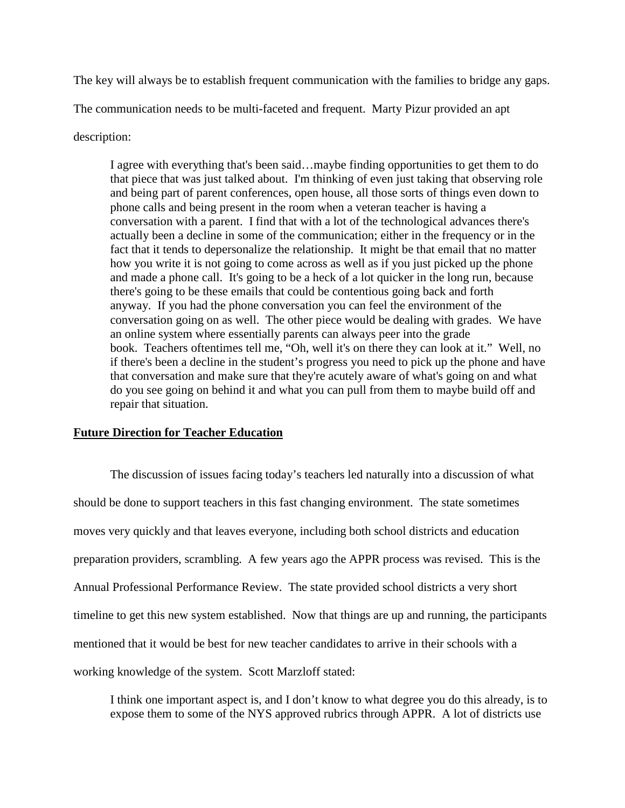The key will always be to establish frequent communication with the families to bridge any gaps.

The communication needs to be multi-faceted and frequent. Marty Pizur provided an apt

description:

I agree with everything that's been said…maybe finding opportunities to get them to do that piece that was just talked about. I'm thinking of even just taking that observing role and being part of parent conferences, open house, all those sorts of things even down to phone calls and being present in the room when a veteran teacher is having a conversation with a parent. I find that with a lot of the technological advances there's actually been a decline in some of the communication; either in the frequency or in the fact that it tends to depersonalize the relationship. It might be that email that no matter how you write it is not going to come across as well as if you just picked up the phone and made a phone call. It's going to be a heck of a lot quicker in the long run, because there's going to be these emails that could be contentious going back and forth anyway. If you had the phone conversation you can feel the environment of the conversation going on as well. The other piece would be dealing with grades. We have an online system where essentially parents can always peer into the grade book. Teachers oftentimes tell me, "Oh, well it's on there they can look at it." Well, no if there's been a decline in the student's progress you need to pick up the phone and have that conversation and make sure that they're acutely aware of what's going on and what do you see going on behind it and what you can pull from them to maybe build off and repair that situation.

# **Future Direction for Teacher Education**

The discussion of issues facing today's teachers led naturally into a discussion of what should be done to support teachers in this fast changing environment. The state sometimes moves very quickly and that leaves everyone, including both school districts and education preparation providers, scrambling. A few years ago the APPR process was revised. This is the Annual Professional Performance Review. The state provided school districts a very short timeline to get this new system established. Now that things are up and running, the participants mentioned that it would be best for new teacher candidates to arrive in their schools with a working knowledge of the system. Scott Marzloff stated:

I think one important aspect is, and I don't know to what degree you do this already, is to expose them to some of the NYS approved rubrics through APPR. A lot of districts use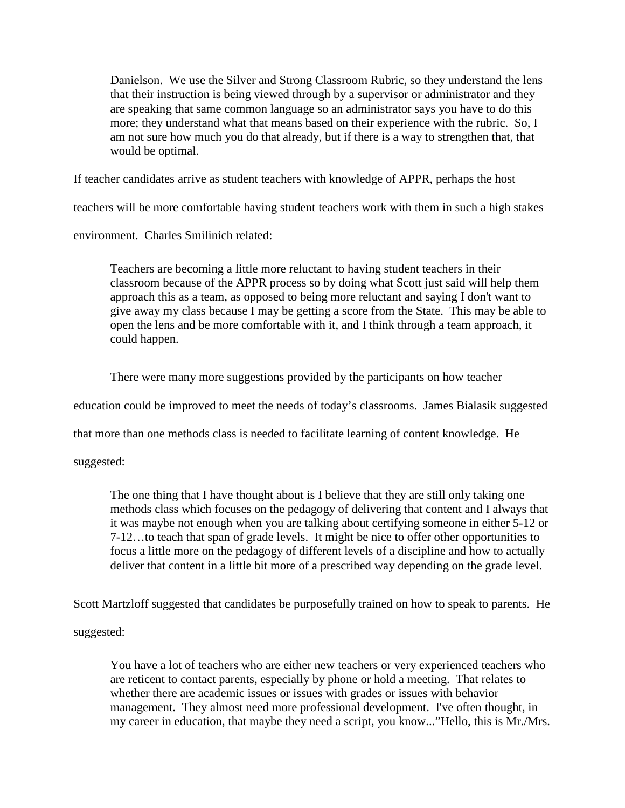Danielson. We use the Silver and Strong Classroom Rubric, so they understand the lens that their instruction is being viewed through by a supervisor or administrator and they are speaking that same common language so an administrator says you have to do this more; they understand what that means based on their experience with the rubric. So, I am not sure how much you do that already, but if there is a way to strengthen that, that would be optimal.

If teacher candidates arrive as student teachers with knowledge of APPR, perhaps the host

teachers will be more comfortable having student teachers work with them in such a high stakes

environment. Charles Smilinich related:

Teachers are becoming a little more reluctant to having student teachers in their classroom because of the APPR process so by doing what Scott just said will help them approach this as a team, as opposed to being more reluctant and saying I don't want to give away my class because I may be getting a score from the State. This may be able to open the lens and be more comfortable with it, and I think through a team approach, it could happen.

There were many more suggestions provided by the participants on how teacher

education could be improved to meet the needs of today's classrooms. James Bialasik suggested

that more than one methods class is needed to facilitate learning of content knowledge. He

suggested:

The one thing that I have thought about is I believe that they are still only taking one methods class which focuses on the pedagogy of delivering that content and I always that it was maybe not enough when you are talking about certifying someone in either 5-12 or 7-12…to teach that span of grade levels. It might be nice to offer other opportunities to focus a little more on the pedagogy of different levels of a discipline and how to actually deliver that content in a little bit more of a prescribed way depending on the grade level.

Scott Martzloff suggested that candidates be purposefully trained on how to speak to parents. He

suggested:

You have a lot of teachers who are either new teachers or very experienced teachers who are reticent to contact parents, especially by phone or hold a meeting. That relates to whether there are academic issues or issues with grades or issues with behavior management. They almost need more professional development. I've often thought, in my career in education, that maybe they need a script, you know..."Hello, this is Mr./Mrs.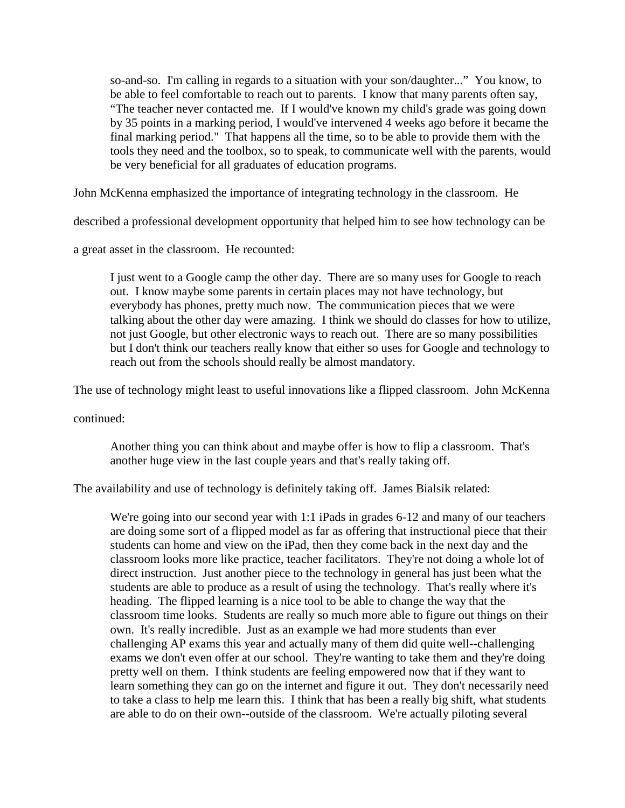so-and-so. I'm calling in regards to a situation with your son/daughter..." You know, to be able to feel comfortable to reach out to parents. I know that many parents often say, "The teacher never contacted me. If I would've known my child's grade was going down by 35 points in a marking period, I would've intervened 4 weeks ago before it became the final marking period." That happens all the time, so to be able to provide them with the tools they need and the toolbox, so to speak, to communicate well with the parents, would be very beneficial for all graduates of education programs.

John McKenna emphasized the importance of integrating technology in the classroom. He

described a professional development opportunity that helped him to see how technology can be

a great asset in the classroom. He recounted:

I just went to a Google camp the other day. There are so many uses for Google to reach out. I know maybe some parents in certain places may not have technology, but everybody has phones, pretty much now. The communication pieces that we were talking about the other day were amazing. I think we should do classes for how to utilize, not just Google, but other electronic ways to reach out. There are so many possibilities but I don't think our teachers really know that either so uses for Google and technology to reach out from the schools should really be almost mandatory.

The use of technology might least to useful innovations like a flipped classroom. John McKenna

continued:

Another thing you can think about and maybe offer is how to flip a classroom. That's another huge view in the last couple years and that's really taking off.

The availability and use of technology is definitely taking off. James Bialsik related:

We're going into our second year with 1:1 iPads in grades 6-12 and many of our teachers are doing some sort of a flipped model as far as offering that instructional piece that their students can home and view on the iPad, then they come back in the next day and the classroom looks more like practice, teacher facilitators. They're not doing a whole lot of direct instruction. Just another piece to the technology in general has just been what the students are able to produce as a result of using the technology. That's really where it's heading. The flipped learning is a nice tool to be able to change the way that the classroom time looks. Students are really so much more able to figure out things on their own. It's really incredible. Just as an example we had more students than ever challenging AP exams this year and actually many of them did quite well--challenging exams we don't even offer at our school. They're wanting to take them and they're doing pretty well on them. I think students are feeling empowered now that if they want to learn something they can go on the internet and figure it out. They don't necessarily need to take a class to help me learn this. I think that has been a really big shift, what students are able to do on their own--outside of the classroom. We're actually piloting several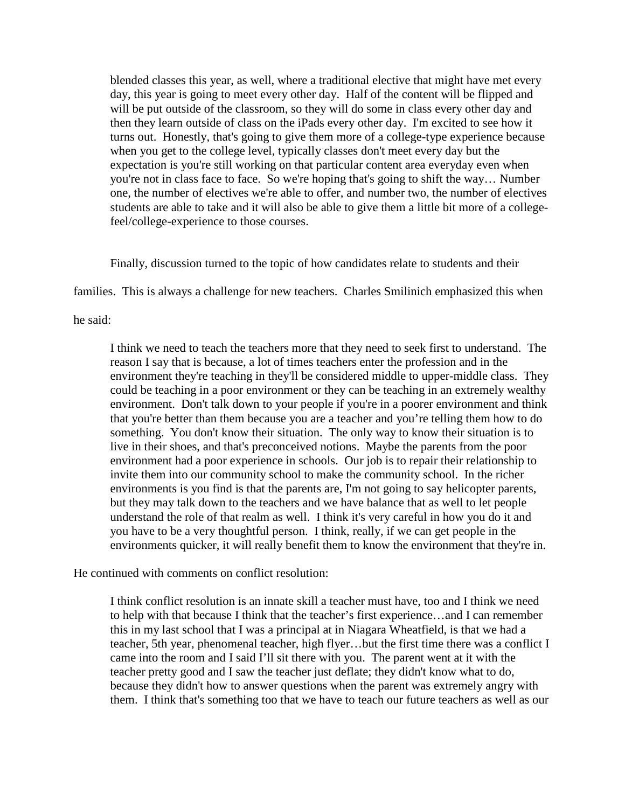blended classes this year, as well, where a traditional elective that might have met every day, this year is going to meet every other day. Half of the content will be flipped and will be put outside of the classroom, so they will do some in class every other day and then they learn outside of class on the iPads every other day. I'm excited to see how it turns out. Honestly, that's going to give them more of a college-type experience because when you get to the college level, typically classes don't meet every day but the expectation is you're still working on that particular content area everyday even when you're not in class face to face. So we're hoping that's going to shift the way… Number one, the number of electives we're able to offer, and number two, the number of electives students are able to take and it will also be able to give them a little bit more of a collegefeel/college-experience to those courses.

Finally, discussion turned to the topic of how candidates relate to students and their

families. This is always a challenge for new teachers. Charles Smilinich emphasized this when

he said:

I think we need to teach the teachers more that they need to seek first to understand. The reason I say that is because, a lot of times teachers enter the profession and in the environment they're teaching in they'll be considered middle to upper-middle class. They could be teaching in a poor environment or they can be teaching in an extremely wealthy environment. Don't talk down to your people if you're in a poorer environment and think that you're better than them because you are a teacher and you're telling them how to do something. You don't know their situation. The only way to know their situation is to live in their shoes, and that's preconceived notions. Maybe the parents from the poor environment had a poor experience in schools. Our job is to repair their relationship to invite them into our community school to make the community school. In the richer environments is you find is that the parents are, I'm not going to say helicopter parents, but they may talk down to the teachers and we have balance that as well to let people understand the role of that realm as well. I think it's very careful in how you do it and you have to be a very thoughtful person. I think, really, if we can get people in the environments quicker, it will really benefit them to know the environment that they're in.

He continued with comments on conflict resolution:

I think conflict resolution is an innate skill a teacher must have, too and I think we need to help with that because I think that the teacher's first experience…and I can remember this in my last school that I was a principal at in Niagara Wheatfield, is that we had a teacher, 5th year, phenomenal teacher, high flyer…but the first time there was a conflict I came into the room and I said I'll sit there with you. The parent went at it with the teacher pretty good and I saw the teacher just deflate; they didn't know what to do, because they didn't how to answer questions when the parent was extremely angry with them. I think that's something too that we have to teach our future teachers as well as our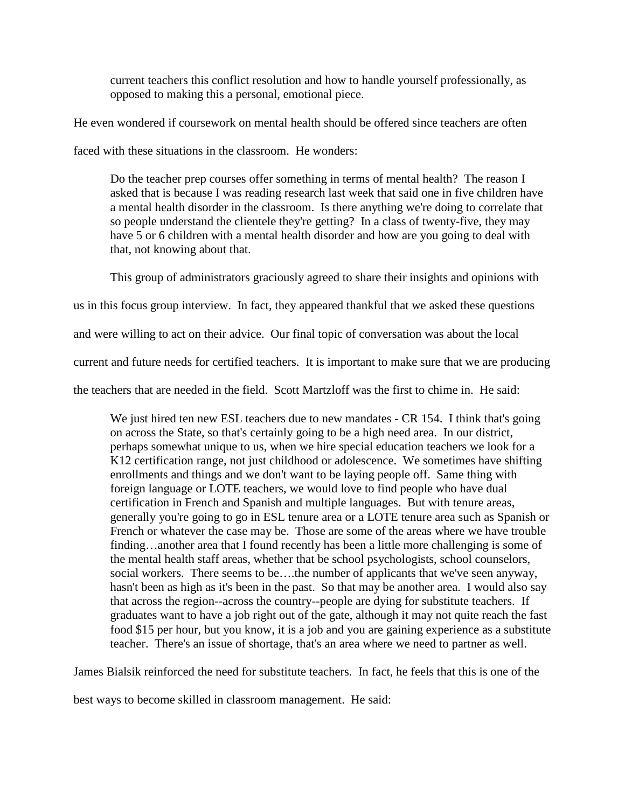current teachers this conflict resolution and how to handle yourself professionally, as opposed to making this a personal, emotional piece.

He even wondered if coursework on mental health should be offered since teachers are often

faced with these situations in the classroom. He wonders:

Do the teacher prep courses offer something in terms of mental health? The reason I asked that is because I was reading research last week that said one in five children have a mental health disorder in the classroom. Is there anything we're doing to correlate that so people understand the clientele they're getting? In a class of twenty-five, they may have 5 or 6 children with a mental health disorder and how are you going to deal with that, not knowing about that.

This group of administrators graciously agreed to share their insights and opinions with us in this focus group interview. In fact, they appeared thankful that we asked these questions

and were willing to act on their advice. Our final topic of conversation was about the local

current and future needs for certified teachers. It is important to make sure that we are producing

the teachers that are needed in the field. Scott Martzloff was the first to chime in. He said:

We just hired ten new ESL teachers due to new mandates - CR 154. I think that's going on across the State, so that's certainly going to be a high need area. In our district, perhaps somewhat unique to us, when we hire special education teachers we look for a K12 certification range, not just childhood or adolescence. We sometimes have shifting enrollments and things and we don't want to be laying people off. Same thing with foreign language or LOTE teachers, we would love to find people who have dual certification in French and Spanish and multiple languages. But with tenure areas, generally you're going to go in ESL tenure area or a LOTE tenure area such as Spanish or French or whatever the case may be. Those are some of the areas where we have trouble finding…another area that I found recently has been a little more challenging is some of the mental health staff areas, whether that be school psychologists, school counselors, social workers. There seems to be….the number of applicants that we've seen anyway, hasn't been as high as it's been in the past. So that may be another area. I would also say that across the region--across the country--people are dying for substitute teachers. If graduates want to have a job right out of the gate, although it may not quite reach the fast food \$15 per hour, but you know, it is a job and you are gaining experience as a substitute teacher. There's an issue of shortage, that's an area where we need to partner as well.

James Bialsik reinforced the need for substitute teachers. In fact, he feels that this is one of the

best ways to become skilled in classroom management. He said: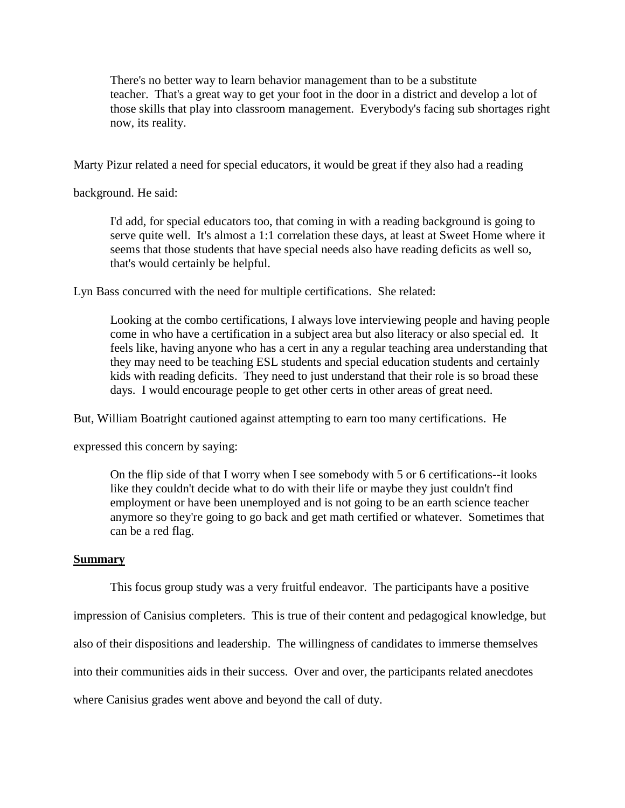There's no better way to learn behavior management than to be a substitute teacher. That's a great way to get your foot in the door in a district and develop a lot of those skills that play into classroom management. Everybody's facing sub shortages right now, its reality.

Marty Pizur related a need for special educators, it would be great if they also had a reading

background. He said:

I'd add, for special educators too, that coming in with a reading background is going to serve quite well. It's almost a 1:1 correlation these days, at least at Sweet Home where it seems that those students that have special needs also have reading deficits as well so, that's would certainly be helpful.

Lyn Bass concurred with the need for multiple certifications. She related:

Looking at the combo certifications, I always love interviewing people and having people come in who have a certification in a subject area but also literacy or also special ed. It feels like, having anyone who has a cert in any a regular teaching area understanding that they may need to be teaching ESL students and special education students and certainly kids with reading deficits. They need to just understand that their role is so broad these days. I would encourage people to get other certs in other areas of great need.

But, William Boatright cautioned against attempting to earn too many certifications. He

expressed this concern by saying:

On the flip side of that I worry when I see somebody with 5 or 6 certifications--it looks like they couldn't decide what to do with their life or maybe they just couldn't find employment or have been unemployed and is not going to be an earth science teacher anymore so they're going to go back and get math certified or whatever. Sometimes that can be a red flag.

# **Summary**

This focus group study was a very fruitful endeavor. The participants have a positive

impression of Canisius completers. This is true of their content and pedagogical knowledge, but

also of their dispositions and leadership. The willingness of candidates to immerse themselves

into their communities aids in their success. Over and over, the participants related anecdotes

where Canisius grades went above and beyond the call of duty.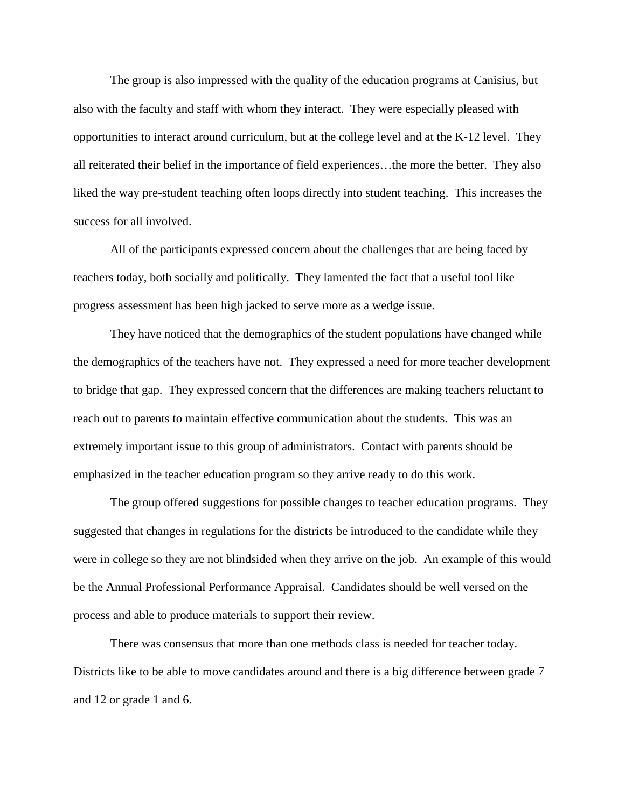The group is also impressed with the quality of the education programs at Canisius, but also with the faculty and staff with whom they interact. They were especially pleased with opportunities to interact around curriculum, but at the college level and at the K-12 level. They all reiterated their belief in the importance of field experiences…the more the better. They also liked the way pre-student teaching often loops directly into student teaching. This increases the success for all involved.

All of the participants expressed concern about the challenges that are being faced by teachers today, both socially and politically. They lamented the fact that a useful tool like progress assessment has been high jacked to serve more as a wedge issue.

They have noticed that the demographics of the student populations have changed while the demographics of the teachers have not. They expressed a need for more teacher development to bridge that gap. They expressed concern that the differences are making teachers reluctant to reach out to parents to maintain effective communication about the students. This was an extremely important issue to this group of administrators. Contact with parents should be emphasized in the teacher education program so they arrive ready to do this work.

The group offered suggestions for possible changes to teacher education programs. They suggested that changes in regulations for the districts be introduced to the candidate while they were in college so they are not blindsided when they arrive on the job. An example of this would be the Annual Professional Performance Appraisal. Candidates should be well versed on the process and able to produce materials to support their review.

There was consensus that more than one methods class is needed for teacher today. Districts like to be able to move candidates around and there is a big difference between grade 7 and 12 or grade 1 and 6.